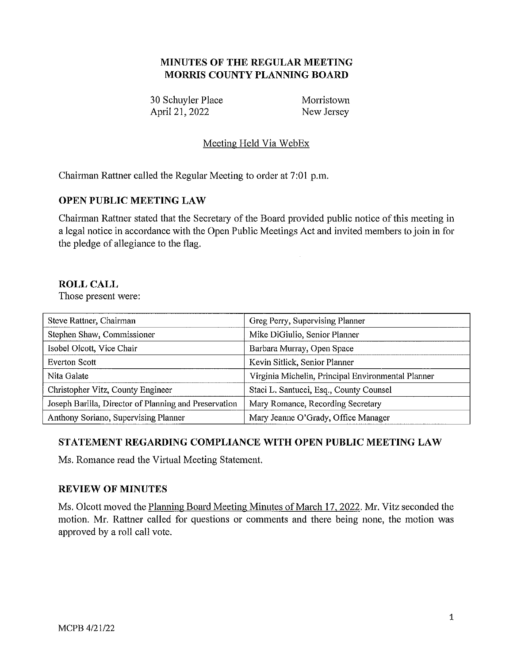# **MINUTES OF THE REGULAR MEETING MORRIS COUNTY PLANNING BOARD**

30 Schuyler Place Morristown<br>
April 21, 2022 New Jersey April 21, 2022

## Meeting Held Via WebEx

Chairman Rattner called the Regular Meeting to order at 7:01 p.m.

### **OPEN PUBLIC MEETING LAW**

Chairman Rattner stated that the Secretary of the Board provided public notice of this meeting in a legal notice in accordance with the Open Public Meetings Act and invited members to join in for the pledge of allegiance to the flag.

## **ROLL CALL**

Those present were:

| Steve Rattner, Chairman                               | Greg Perry, Supervising Planner                    |
|-------------------------------------------------------|----------------------------------------------------|
| Stephen Shaw, Commissioner                            | Mike DiGiulio, Senior Planner                      |
| Isobel Olcott, Vice Chair                             | Barbara Murray, Open Space                         |
| <b>Everton Scott</b>                                  | Kevin Sitlick, Senior Planner                      |
| Nita Galate                                           | Virginia Michelin, Principal Environmental Planner |
| Christopher Vitz, County Engineer                     | Staci L. Santucci, Esq., County Counsel            |
| Joseph Barilla, Director of Planning and Preservation | Mary Romance, Recording Secretary                  |
| Anthony Soriano, Supervising Planner                  | Mary Jeanne O'Grady, Office Manager                |

# **STATEMENT REGARDING COMPLIANCE WITH OPEN PUBLIC MEETING LAW**

Ms. Romance read the Virtual Meeting Statement.

### **REVIEW OF MINUTES**

Ms. Olcott moved the Planning Board Meeting Minutes of March 17, 2022. Mr. Vitz seconded the motion. Mr. Rattner called for questions or comments and there being none, the motion was approved by a roll call vote.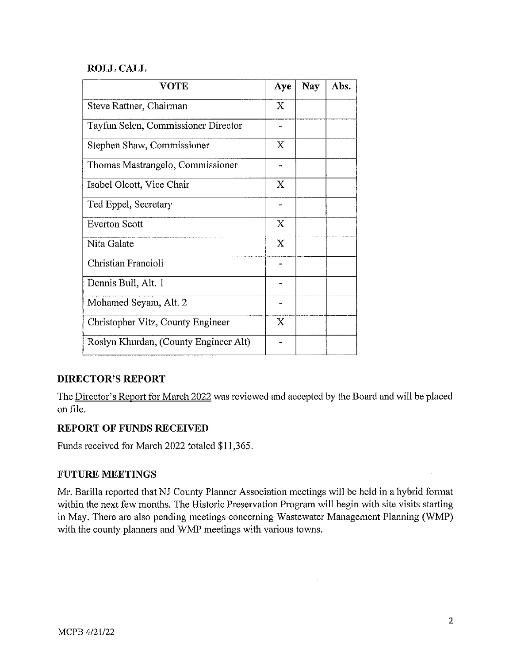## **ROLL CALL**

| <b>VOTE</b>                           | Aye                       | <b>Nay</b> | Abs. |
|---------------------------------------|---------------------------|------------|------|
| Steve Rattner, Chairman               | X                         |            |      |
| Tayfun Selen, Commissioner Director   |                           |            |      |
| Stephen Shaw, Commissioner            | X                         |            |      |
| Thomas Mastrangelo, Commissioner      |                           |            |      |
| Isobel Olcott, Vice Chair             | X                         |            |      |
| Ted Eppel, Secretary                  |                           |            |      |
| <b>Everton Scott</b>                  | $\boldsymbol{\mathrm{X}}$ |            |      |
| Nita Galate                           | $\mathbf X$               |            |      |
| Christian Francioli                   |                           |            |      |
| Dennis Bull, Alt. 1                   |                           |            |      |
| Mohamed Seyam, Alt. 2                 |                           |            |      |
| Christopher Vitz, County Engineer     | $\boldsymbol{\mathrm{X}}$ |            |      |
| Roslyn Khurdan, (County Engineer Alt) |                           |            |      |

# **DIRECTOR'S REPORT**

The Director's Report for March 2022 was reviewed and accepted by the Board and will be placed on file.

### **REPORT OF FUNDS RECEIVED**

Funds received for March 2022 totaled \$11,365.

### **FUTURE MEETINGS**

Mr. Barilla reported that NJ County Planner Association meetings will be held in a hybrid format within the next few months. The Historic Preservation Program will begin with site visits starting in May. There are also pending meetings concerning Wastewater Management Planning (WMP) with the county planners and WMP meetings with various towns.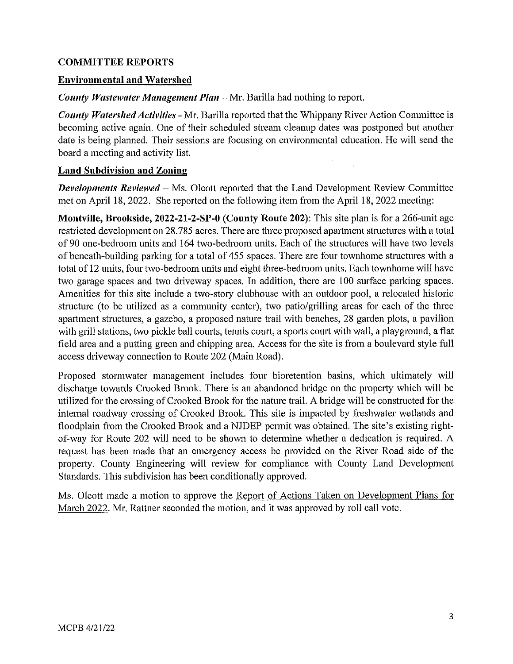### **COMMITTEE REPORTS**

#### **Environmental and Watershed**

*County Wastewater Management Plan –* Mr. Barilla had nothing to report.

*County Watershed Activities* - Mr. Barilla reported that the Whippany River Action Committee is becoming active again. One of their scheduled stream cleanup dates was postponed but another date is being planned. Their sessions are focusing on environmental education. He will send the board a meeting and activity list.

#### **Land Subdivision and Zoning**

*Developments Reviewed* – Ms. Olcott reported that the Land Development Review Committee met on April 18, 2022. She reported on the following item from the April 18, 2022 meeting:

**Montville, Brookside, 2022-21-2-SP-0 (County Route 202):** This site plan is for a 266-unit age restricted development on 28.785 acres. There are three proposed apartment structures with a total of 90 one-bedroom units and 164 two-bedroom units. Each of the structures will have two levels of beneath-building parking for a total of 455 spaces. There are four townhome structures with a total of 12 units, four two-bedroom units and eight three-bedroom units. Each townhome will have two garage spaces and two driveway spaces. In addition, there are 100 surface parking spaces. Amenities for this site include a two-story clubhouse with an outdoor pool, a relocated historic structure (to be utilized as a community center), two patio/grilling areas for each of the three apartment structures, a gazebo, a proposed nature trail with benches, 28 garden plots, a pavilion with grill stations, two pickle ball courts, tennis court, a sports court with wall, a playground, a flat field area and a putting green and chipping area. Access for the site is from a boulevard style full access driveway connection to Route 202 (Main Road).

Proposed stormwater management includes four bioretention basins, which ultimately will discharge towards Crooked Brook. There is an abandoned bridge on the property which will be utilized for the crossing of Crooked Brook for the nature trail. A bridge will be constructed for the internal roadway crossing of Crooked Brook. This site is impacted by freshwater wetlands and floodplain from the Crooked Brook and a NJDEP permit was obtained. The site's existing rightof-way for Route 202 will need to be shown to determine whether a dedication is required. A request has been made that an emergency access be provided on the River Road side of the property. County Engineering will review for compliance with County Land Development Standards. This subdivision has been conditionally approved.

Ms. Olcott made a motion to approve the Report of Actions Taken on Development Plans for March 2022. Mr. Rattner seconded the motion, and it was approved by roll call vote.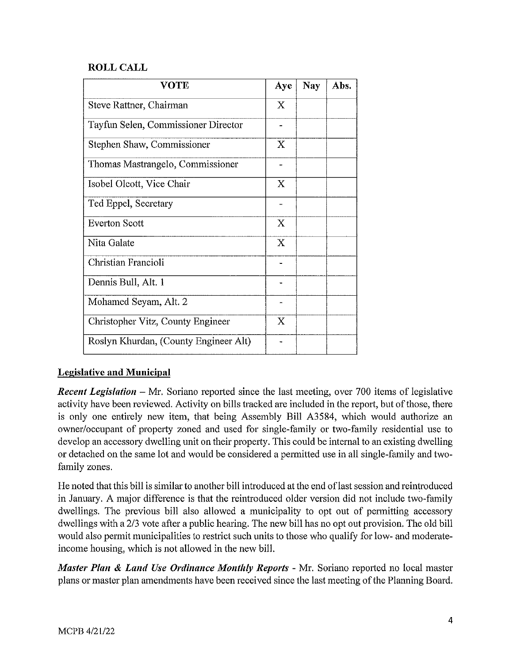## **ROLL CALL**

| <b>VOTE</b>                           | Aye                       | <b>Nay</b> | Abs. |
|---------------------------------------|---------------------------|------------|------|
| Steve Rattner, Chairman               | $\mathbf X$               |            |      |
| Tayfun Selen, Commissioner Director   |                           |            |      |
| Stephen Shaw, Commissioner            | X                         |            |      |
| Thomas Mastrangelo, Commissioner      |                           |            |      |
| Isobel Olcott, Vice Chair             | X                         |            |      |
| Ted Eppel, Secretary                  |                           |            |      |
| <b>Everton Scott</b>                  | $\boldsymbol{\mathrm{X}}$ |            |      |
| Nita Galate                           | X                         |            |      |
| Christian Francioli                   |                           |            |      |
| Dennis Bull, Alt. 1                   |                           |            |      |
| Mohamed Seyam, Alt. 2                 |                           |            |      |
| Christopher Vitz, County Engineer     | X                         |            |      |
| Roslyn Khurdan, (County Engineer Alt) |                           |            |      |

# **Legislative and Municipal**

*Recent Legislation* - Mr. Soriano reported since the last meeting, over 700 items of legislative activity have been reviewed. Activity on bills tracked are included in the report, but of those, there is only one entirely new item, that being Assembly Bill A3584, which would authorize an owner/occupant of property zoned and used for single-family or two-family residential use to develop an accessoty dwelling unit on their property. This could be internal to an existing dwelling or detached on the same lot and would be considered a permitted use in all single-family and twofamily zones.

He noted that this bill is similar to another bill introduced at the end oflast session and reintroduced in Januaty. A major difference is that the reintroduced older version did not include two-family dwellings. The previous bill also allowed a municipality to opt out of permitting accessoty dwellings with a 2/3 vote after a public hearing. The new bill has no opt out provision. The old bill would also permit municipalities to restrict such units to those who qualify for low- and moderateincome housing, which is not allowed in the new bill.

*Master Plan & Land Use Ordinance Montltly Reports* - Mr. Soriano reported no local master plans or master plan amendments have been received since the last meeting of the Planning Board.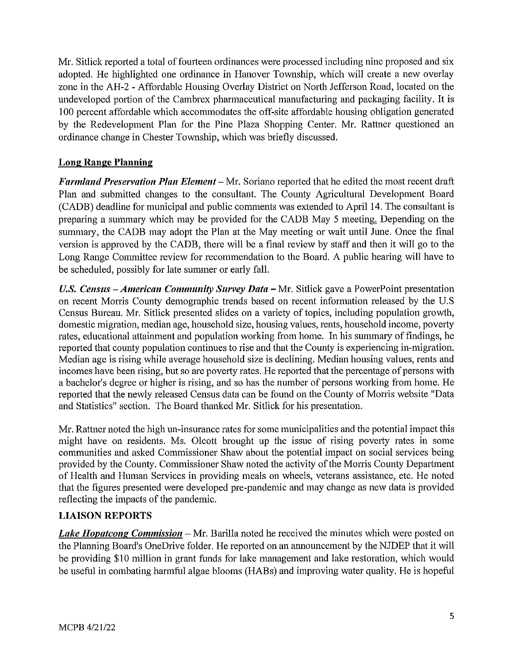Mr. Sitlick reported a total of fourteen ordinances were processed including nine proposed and six adopted. He highlighted one ordinance in Hanover Township, which will create a new overlay zone in the AH-2 - Affordable Housing Overlay District on North Jefferson Road, located on the undeveloped portion of the Cambrex pharmaceutical manufacturing and packaging facility. It is 100 percent affordable which accommodates the off-site affordable housing obligation generated by the Redevelopment Plan for the Pine Plaza Shopping Center. Mr. Rattner questioned an ordinance change in Chester Township, which was briefly discussed.

# **Long Range Planning**

*Farmland Preservation Plan Element* – Mr. Soriano reported that he edited the most recent draft Plan and submitted changes to the consultant. The County Agricultural Development Board (CADB) deadline for municipal and public comments was extended to April 14. The consultant is preparing a summary which may be provided for the CADB May 5 meeting, Depending on the summary, the CADB may adopt the Plan at the May meeting or wait until June. Once the final version is approved by the CADB, there will be a final review by staff and then it will go to the Long Range Committee review for recommendation to the Board. A public hearing will have to be scheduled, possibly for late summer or early fall.

*U.S. Census -American Community Survey Data* - Mr. Sitlick gave a PowerPoint presentation on recent Morris County demographic trends based on recent information released by the U.S Census Bureau. Mr. Sitlick presented slides on a variety of topics, including population growth, domestic migration, median age, household size, housing values, rents, household income, poverty rates, educational attainment and population working from home. In his summary of findings, he reported that county population continues to rise and that the County is experiencing in-migration. Median age is rising while average household size is declining. Median housing values, rents and incomes have been rising, but so are poverty rates. He reported that the percentage of persons with a bachelor's degree or higher is rising, and so has the number of persons working from home. He reported that the newly released Census data can be found on the County of Morris website "Data and Statistics" section. The Board thanked Mr. Sitlick for his presentation.

Mr. Rattner noted the high un-insurance rates for some municipalities and the potential impact this might have on residents. Ms. Olcott brought up the issue of rising poverty rates in some communities and asked Commissioner Shaw about the potential impact on social services being provided by the County. Commissioner Shaw noted the activity of the Morris County Department of Health and Human Services in providing meals on wheels, veterans assistance, etc. He noted that the figures presented were developed pre-pandemic and may change as new data is provided reflecting the impacts of the pandemic.

### **LIAISON REPORTS**

*Lake Hopatcong Commission* – Mr. Barilla noted he received the minutes which were posted on the Planning Board's OneDrive folder. He reported on an announcement by the NJDEP that it will be providing \$10 million in grant funds for lake management and lake restoration, which would be useful in combating harmful algae blooms (HABs) and improving water quality. He is hopeful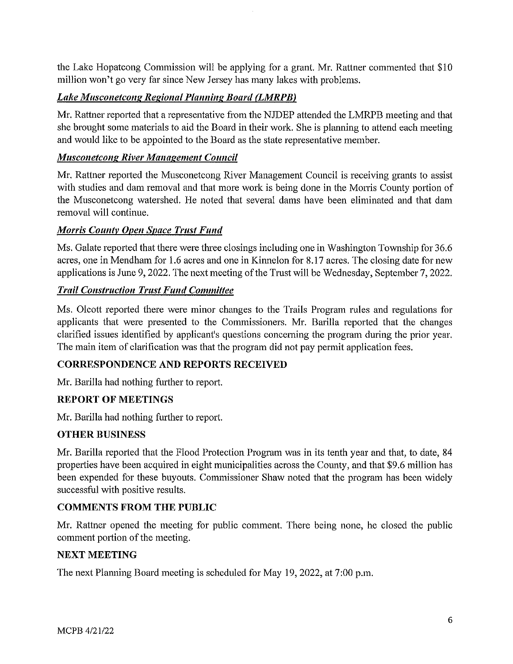the Lake Hopatcong Commission will be applying for a grant. Mr. Rattner commented that \$10 million won't go very far since New Jersey has many lakes with problems.

# **Lake Musconetcong Regional Planning Board (LMRPB)**

Mr. Rattner reported that a representative from the NJDEP attended the LMRPB meeting and that she brought some materials to aid the Board in their work. She is planning to attend each meeting and would like to be appointed to the Board as the state representative member.

# *Musconetcong River Management Council*

Mr. Rattner reported the Musconetcong River Management Council is receiving grants to assist with studies and dam removal and that more work is being done in the Morris County portion of the Musconetcong watershed. He noted that several dams have been eliminated and that dam removal will continue.

## *Morris County Open Space Trust Fund*

Ms. Galate reported that there were three closings including one in Washington Township for 36.6 acres, one in Mendham for 1.6 acres and one in Kinnelon for 8.17 acres. The closing date for new applications is June 9, 2022. The next meeting of the Trust will be Wednesday, September 7, 2022.

## *Trail Construction Trust Fund Committee*

Ms. Olcott reported there were minor changes to the Trails Program rules and regulations for applicants that were presented to the Commissioners. Mr. Barilla reported that the changes clarified issues identified by applicant's questions concerning the program during the prior year. The main item of clarification was that the program did not pay permit application fees.

### **CORRESPONDENCE AND REPORTS RECEIVED**

Mr. Barilla had nothing further to report.

### **REPORT OF MEETINGS**

Mr. Barilla had nothing further to report.

### **OTHER BUSINESS**

Mr. Barilla reported that the Flood Protection Program was in its tenth year and that, to date, 84 properties have been acquired in eight municipalities across the County, and that \$9.6 million has been expended for these buyouts. Commissioner Shaw noted that the program has been widely successful with positive results.

# **COMMENTS FROM THE PUBLIC**

Mr. Rattner opened the meeting for public comment. There being none, he closed the public comment portion of the meeting.

### **NEXT MEETING**

The next Planning Board meeting is scheduled for May 19, 2022, at 7:00 p.m.